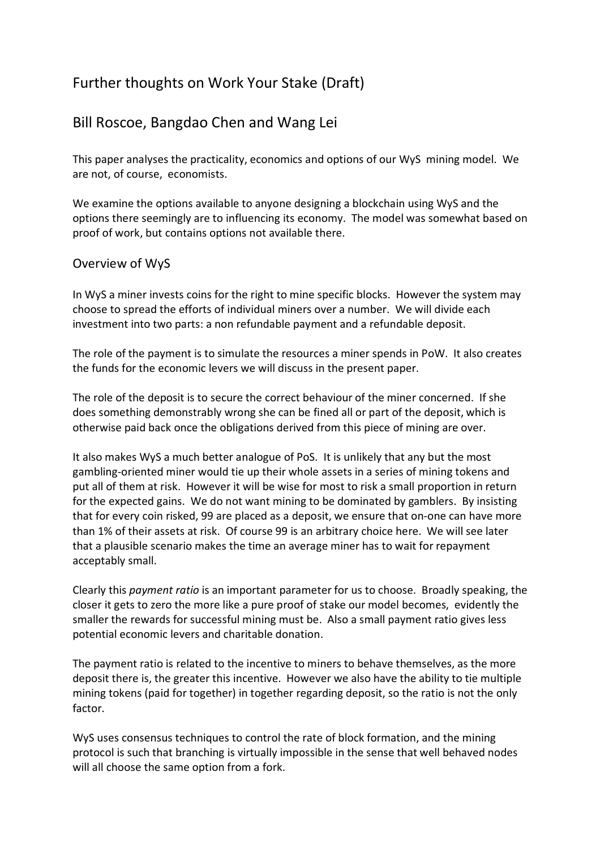# Further thoughts on Work Your Stake (Draft)

## Bill Roscoe, Bangdao Chen and Wang Lei

This paper analyses the practicality, economics and options of our WyS mining model. We are not, of course, economists.

We examine the options available to anyone designing a blockchain using WyS and the options there seemingly are to influencing its economy. The model was somewhat based on proof of work, but contains options not available there.

#### Overview of WyS

In WyS a miner invests coins for the right to mine specific blocks. However the system may choose to spread the efforts of individual miners over a number. We will divide each investment into two parts: a non refundable payment and a refundable deposit.

The role of the payment is to simulate the resources a miner spends in PoW. It also creates the funds for the economic levers we will discuss in the present paper.

The role of the deposit is to secure the correct behaviour of the miner concerned. If she does something demonstrably wrong she can be fined all or part of the deposit, which is otherwise paid back once the obligations derived from this piece of mining are over.

It also makes WyS a much better analogue of PoS. It is unlikely that any but the most gambling-oriented miner would tie up their whole assets in a series of mining tokens and put all of them at risk. However it will be wise for most to risk a small proportion in return for the expected gains. We do not want mining to be dominated by gamblers. By insisting that for every coin risked, 99 are placed as a deposit, we ensure that on-one can have more than 1% of their assets at risk. Of course 99 is an arbitrary choice here. We will see later that a plausible scenario makes the time an average miner has to wait for repayment acceptably small.

Clearly this *payment ratio* is an important parameter for us to choose. Broadly speaking, the closer it gets to zero the more like a pure proof of stake our model becomes, evidently the smaller the rewards for successful mining must be. Also a small payment ratio gives less potential economic levers and charitable donation.

The payment ratio is related to the incentive to miners to behave themselves, as the more deposit there is, the greater this incentive. However we also have the ability to tie multiple mining tokens (paid for together) in together regarding deposit, so the ratio is not the only factor.

WyS uses consensus techniques to control the rate of block formation, and the mining protocol is such that branching is virtually impossible in the sense that well behaved nodes will all choose the same option from a fork.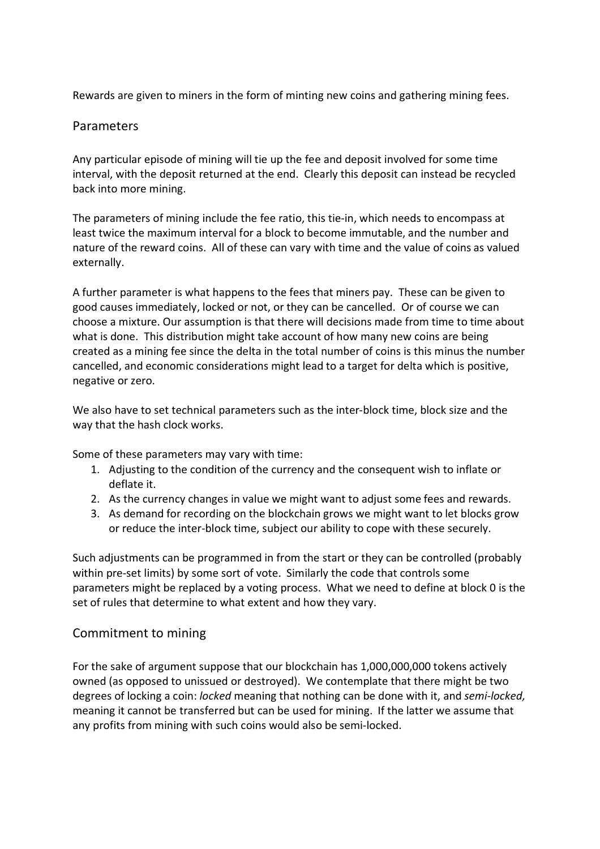Rewards are given to miners in the form of minting new coins and gathering mining fees.

#### Parameters

Any particular episode of mining will tie up the fee and deposit involved for some time interval, with the deposit returned at the end. Clearly this deposit can instead be recycled back into more mining.

The parameters of mining include the fee ratio, this tie-in, which needs to encompass at least twice the maximum interval for a block to become immutable, and the number and nature of the reward coins. All of these can vary with time and the value of coins as valued externally.

A further parameter is what happens to the fees that miners pay. These can be given to good causes immediately, locked or not, or they can be cancelled. Or of course we can choose a mixture. Our assumption is that there will decisions made from time to time about what is done. This distribution might take account of how many new coins are being created as a mining fee since the delta in the total number of coins is this minus the number cancelled, and economic considerations might lead to a target for delta which is positive, negative or zero.

We also have to set technical parameters such as the inter-block time, block size and the way that the hash clock works.

Some of these parameters may vary with time:

- 1. Adjusting to the condition of the currency and the consequent wish to inflate or deflate it.
- 2. As the currency changes in value we might want to adjust some fees and rewards.
- 3. As demand for recording on the blockchain grows we might want to let blocks grow or reduce the inter-block time, subject our ability to cope with these securely.

Such adjustments can be programmed in from the start or they can be controlled (probably within pre-set limits) by some sort of vote. Similarly the code that controls some parameters might be replaced by a voting process. What we need to define at block 0 is the set of rules that determine to what extent and how they vary.

#### Commitment to mining

For the sake of argument suppose that our blockchain has 1,000,000,000 tokens actively owned (as opposed to unissued or destroyed). We contemplate that there might be two degrees of locking a coin: *locked* meaning that nothing can be done with it, and *semi-locked,*  meaning it cannot be transferred but can be used for mining. If the latter we assume that any profits from mining with such coins would also be semi-locked.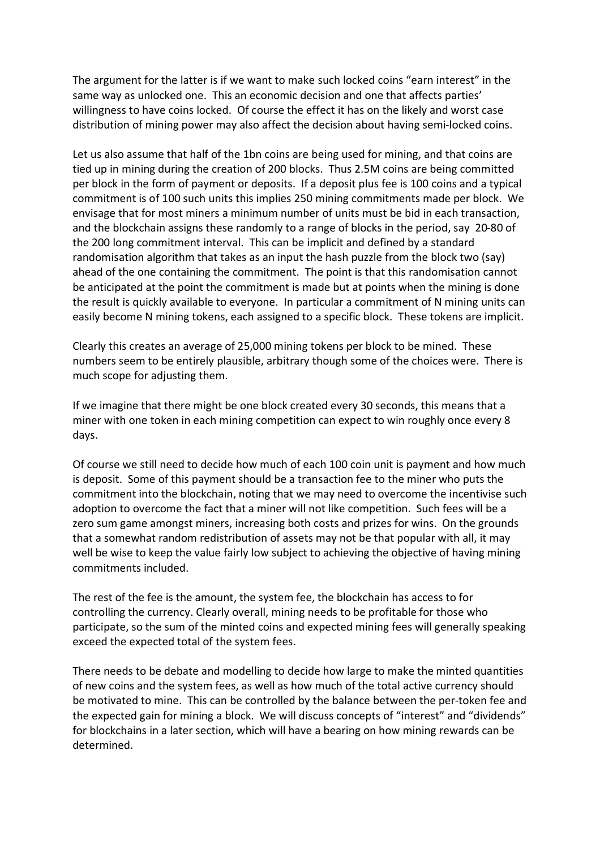The argument for the latter is if we want to make such locked coins "earn interest" in the same way as unlocked one. This an economic decision and one that affects parties' willingness to have coins locked. Of course the effect it has on the likely and worst case distribution of mining power may also affect the decision about having semi-locked coins.

Let us also assume that half of the 1bn coins are being used for mining, and that coins are tied up in mining during the creation of 200 blocks. Thus 2.5M coins are being committed per block in the form of payment or deposits. If a deposit plus fee is 100 coins and a typical commitment is of 100 such units this implies 250 mining commitments made per block. We envisage that for most miners a minimum number of units must be bid in each transaction, and the blockchain assigns these randomly to a range of blocks in the period, say 20-80 of the 200 long commitment interval. This can be implicit and defined by a standard randomisation algorithm that takes as an input the hash puzzle from the block two (say) ahead of the one containing the commitment. The point is that this randomisation cannot be anticipated at the point the commitment is made but at points when the mining is done the result is quickly available to everyone. In particular a commitment of N mining units can easily become N mining tokens, each assigned to a specific block. These tokens are implicit.

Clearly this creates an average of 25,000 mining tokens per block to be mined. These numbers seem to be entirely plausible, arbitrary though some of the choices were. There is much scope for adjusting them.

If we imagine that there might be one block created every 30 seconds, this means that a miner with one token in each mining competition can expect to win roughly once every 8 days.

Of course we still need to decide how much of each 100 coin unit is payment and how much is deposit. Some of this payment should be a transaction fee to the miner who puts the commitment into the blockchain, noting that we may need to overcome the incentivise such adoption to overcome the fact that a miner will not like competition. Such fees will be a zero sum game amongst miners, increasing both costs and prizes for wins. On the grounds that a somewhat random redistribution of assets may not be that popular with all, it may well be wise to keep the value fairly low subject to achieving the objective of having mining commitments included.

The rest of the fee is the amount, the system fee, the blockchain has access to for controlling the currency. Clearly overall, mining needs to be profitable for those who participate, so the sum of the minted coins and expected mining fees will generally speaking exceed the expected total of the system fees.

There needs to be debate and modelling to decide how large to make the minted quantities of new coins and the system fees, as well as how much of the total active currency should be motivated to mine. This can be controlled by the balance between the per-token fee and the expected gain for mining a block. We will discuss concepts of "interest" and "dividends" for blockchains in a later section, which will have a bearing on how mining rewards can be determined.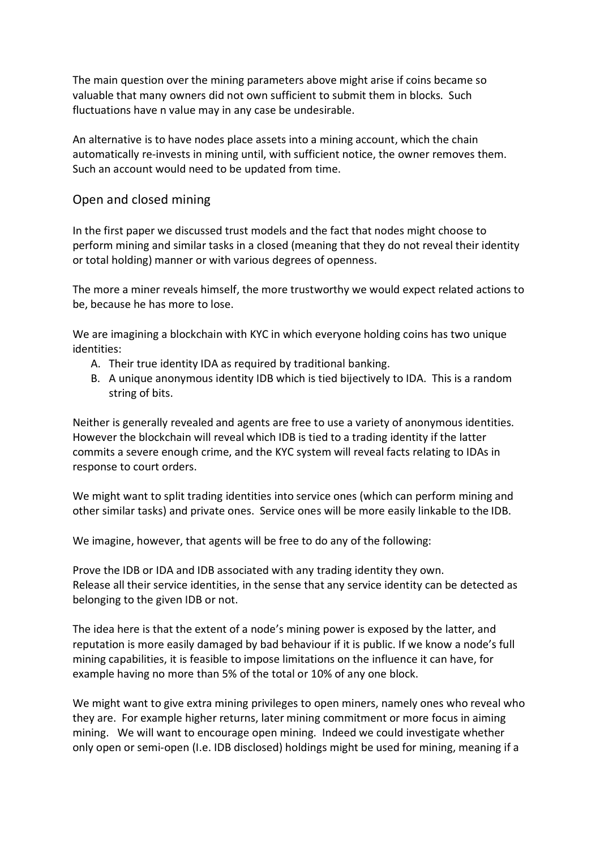The main question over the mining parameters above might arise if coins became so valuable that many owners did not own sufficient to submit them in blocks. Such fluctuations have n value may in any case be undesirable.

An alternative is to have nodes place assets into a mining account, which the chain automatically re-invests in mining until, with sufficient notice, the owner removes them. Such an account would need to be updated from time.

#### Open and closed mining

In the first paper we discussed trust models and the fact that nodes might choose to perform mining and similar tasks in a closed (meaning that they do not reveal their identity or total holding) manner or with various degrees of openness.

The more a miner reveals himself, the more trustworthy we would expect related actions to be, because he has more to lose.

We are imagining a blockchain with KYC in which everyone holding coins has two unique identities:

- A. Their true identity IDA as required by traditional banking.
- B. A unique anonymous identity IDB which is tied bijectively to IDA. This is a random string of bits.

Neither is generally revealed and agents are free to use a variety of anonymous identities. However the blockchain will reveal which IDB is tied to a trading identity if the latter commits a severe enough crime, and the KYC system will reveal facts relating to IDAs in response to court orders.

We might want to split trading identities into service ones (which can perform mining and other similar tasks) and private ones. Service ones will be more easily linkable to the IDB.

We imagine, however, that agents will be free to do any of the following:

Prove the IDB or IDA and IDB associated with any trading identity they own. Release all their service identities, in the sense that any service identity can be detected as belonging to the given IDB or not.

The idea here is that the extent of a node's mining power is exposed by the latter, and reputation is more easily damaged by bad behaviour if it is public. If we know a node's full mining capabilities, it is feasible to impose limitations on the influence it can have, for example having no more than 5% of the total or 10% of any one block.

We might want to give extra mining privileges to open miners, namely ones who reveal who they are. For example higher returns, later mining commitment or more focus in aiming mining. We will want to encourage open mining. Indeed we could investigate whether only open or semi-open (I.e. IDB disclosed) holdings might be used for mining, meaning if a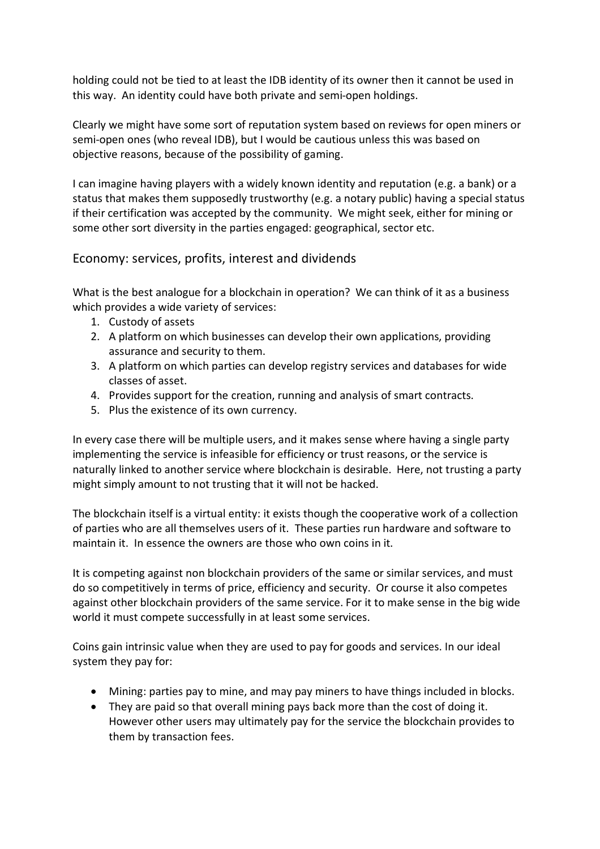holding could not be tied to at least the IDB identity of its owner then it cannot be used in this way. An identity could have both private and semi-open holdings.

Clearly we might have some sort of reputation system based on reviews for open miners or semi-open ones (who reveal IDB), but I would be cautious unless this was based on objective reasons, because of the possibility of gaming.

I can imagine having players with a widely known identity and reputation (e.g. a bank) or a status that makes them supposedly trustworthy (e.g. a notary public) having a special status if their certification was accepted by the community. We might seek, either for mining or some other sort diversity in the parties engaged: geographical, sector etc.

Economy: services, profits, interest and dividends

What is the best analogue for a blockchain in operation? We can think of it as a business which provides a wide variety of services:

- 1. Custody of assets
- 2. A platform on which businesses can develop their own applications, providing assurance and security to them.
- 3. A platform on which parties can develop registry services and databases for wide classes of asset.
- 4. Provides support for the creation, running and analysis of smart contracts.
- 5. Plus the existence of its own currency.

In every case there will be multiple users, and it makes sense where having a single party implementing the service is infeasible for efficiency or trust reasons, or the service is naturally linked to another service where blockchain is desirable. Here, not trusting a party might simply amount to not trusting that it will not be hacked.

The blockchain itself is a virtual entity: it exists though the cooperative work of a collection of parties who are all themselves users of it. These parties run hardware and software to maintain it. In essence the owners are those who own coins in it.

It is competing against non blockchain providers of the same or similar services, and must do so competitively in terms of price, efficiency and security. Or course it also competes against other blockchain providers of the same service. For it to make sense in the big wide world it must compete successfully in at least some services.

Coins gain intrinsic value when they are used to pay for goods and services. In our ideal system they pay for:

- Mining: parties pay to mine, and may pay miners to have things included in blocks.
- They are paid so that overall mining pays back more than the cost of doing it. However other users may ultimately pay for the service the blockchain provides to them by transaction fees.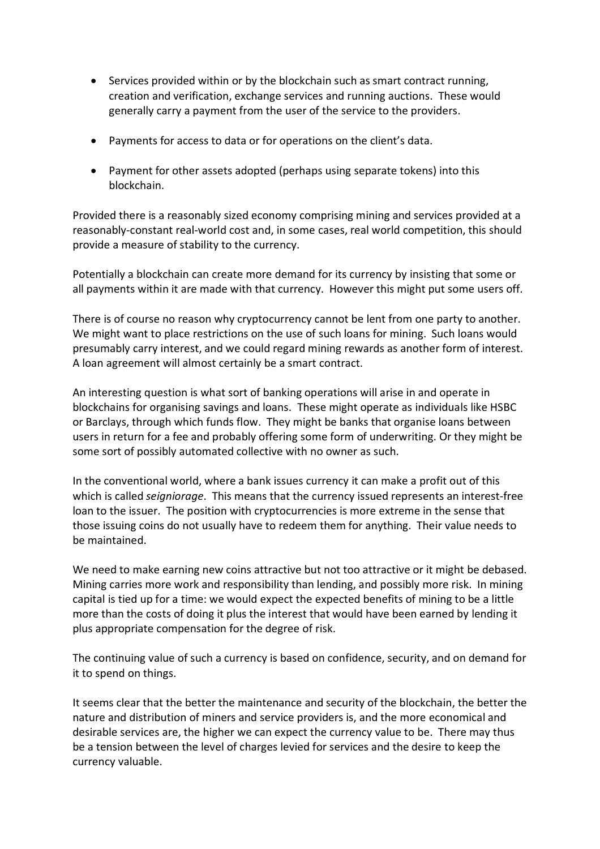- Services provided within or by the blockchain such as smart contract running, creation and verification, exchange services and running auctions. These would generally carry a payment from the user of the service to the providers.
- Payments for access to data or for operations on the client's data.
- Payment for other assets adopted (perhaps using separate tokens) into this blockchain.

Provided there is a reasonably sized economy comprising mining and services provided at a reasonably-constant real-world cost and, in some cases, real world competition, this should provide a measure of stability to the currency.

Potentially a blockchain can create more demand for its currency by insisting that some or all payments within it are made with that currency. However this might put some users off.

There is of course no reason why cryptocurrency cannot be lent from one party to another. We might want to place restrictions on the use of such loans for mining. Such loans would presumably carry interest, and we could regard mining rewards as another form of interest. A loan agreement will almost certainly be a smart contract.

An interesting question is what sort of banking operations will arise in and operate in blockchains for organising savings and loans. These might operate as individuals like HSBC or Barclays, through which funds flow. They might be banks that organise loans between users in return for a fee and probably offering some form of underwriting. Or they might be some sort of possibly automated collective with no owner as such.

In the conventional world, where a bank issues currency it can make a profit out of this which is called *seigniorage*. This means that the currency issued represents an interest-free loan to the issuer. The position with cryptocurrencies is more extreme in the sense that those issuing coins do not usually have to redeem them for anything. Their value needs to be maintained.

We need to make earning new coins attractive but not too attractive or it might be debased. Mining carries more work and responsibility than lending, and possibly more risk. In mining capital is tied up for a time: we would expect the expected benefits of mining to be a little more than the costs of doing it plus the interest that would have been earned by lending it plus appropriate compensation for the degree of risk.

The continuing value of such a currency is based on confidence, security, and on demand for it to spend on things.

It seems clear that the better the maintenance and security of the blockchain, the better the nature and distribution of miners and service providers is, and the more economical and desirable services are, the higher we can expect the currency value to be. There may thus be a tension between the level of charges levied for services and the desire to keep the currency valuable.